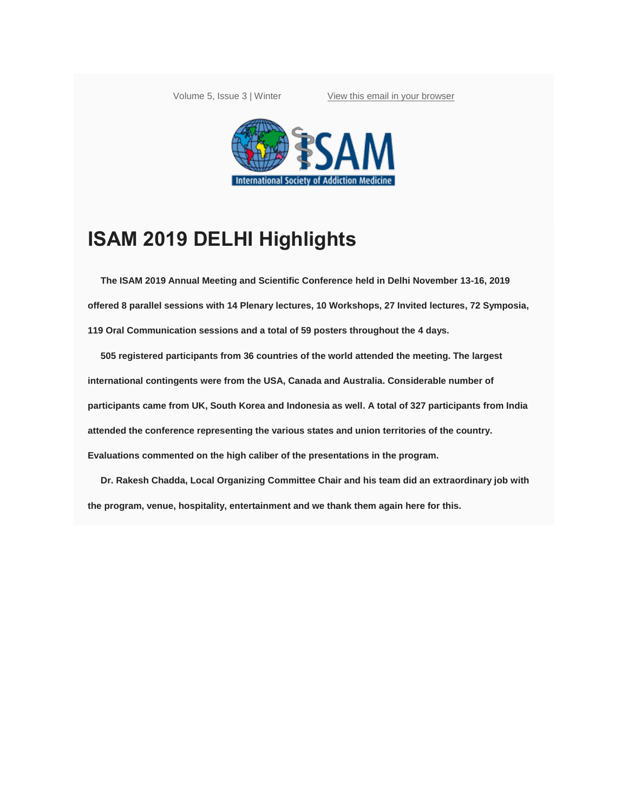Volume 5, Issue 3 | Winter [View this email in your browser](https://mailchi.mp/bdb7f06b6672/december-2019-isam-newsletter-is-here-2491873?e=83125d8746)



## **ISAM 2019 DELHI Highlights**

**The ISAM 2019 Annual Meeting and Scientific Conference held in Delhi November 13-16, 2019 offered 8 parallel sessions with 14 Plenary lectures, 10 Workshops, 27 Invited lectures, 72 Symposia, 119 Oral Communication sessions and a total of 59 posters throughout the 4 days.**

**505 registered participants from 36 countries of the world attended the meeting. The largest international contingents were from the USA, Canada and Australia. Considerable number of participants came from UK, South Korea and Indonesia as well. A total of 327 participants from India attended the conference representing the various states and union territories of the country. Evaluations commented on the high caliber of the presentations in the program.**

**Dr. Rakesh Chadda, Local Organizing Committee Chair and his team did an extraordinary job with the program, venue, hospitality, entertainment and we thank them again here for this.**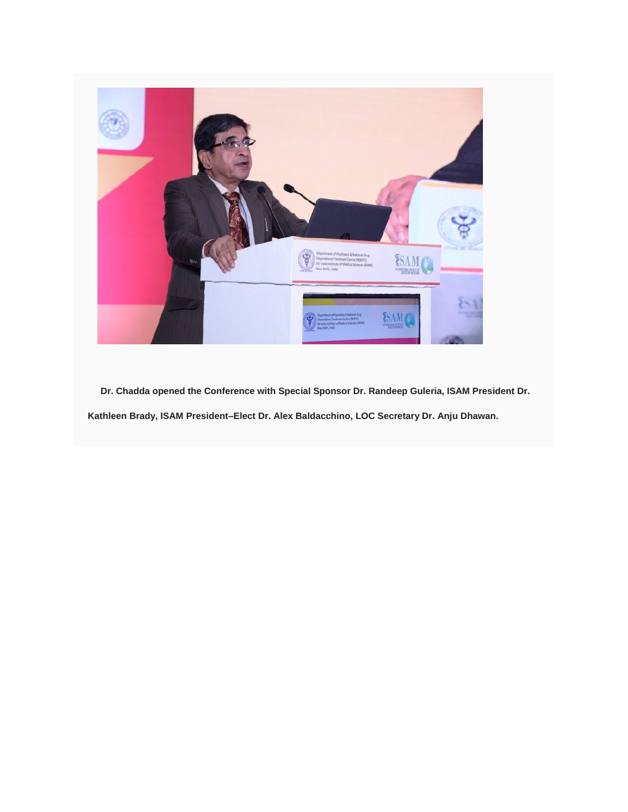

**Dr. Chadda opened the Conference with Special Sponsor Dr. Randeep Guleria, ISAM President Dr. Kathleen Brady, ISAM President–Elect Dr. Alex Baldacchino, LOC Secretary Dr. Anju Dhawan.**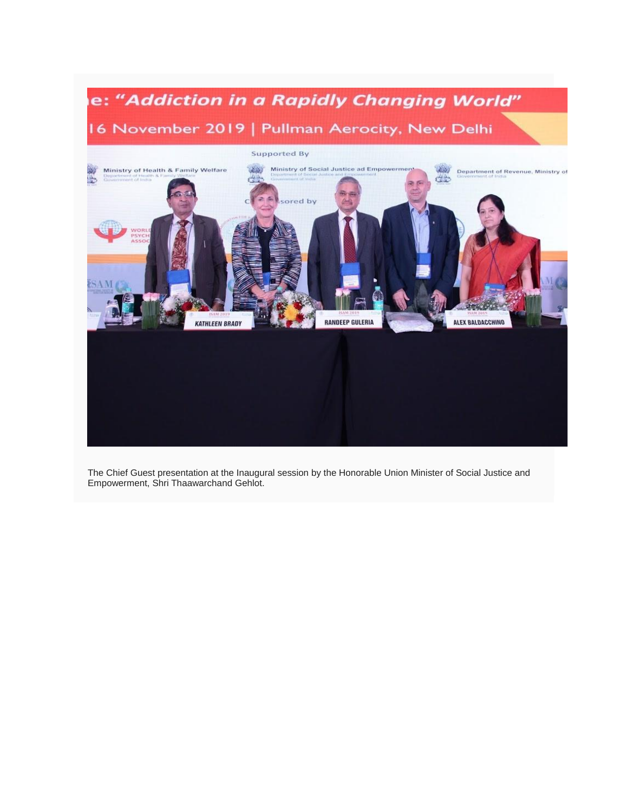

The Chief Guest presentation at the Inaugural session by the Honorable Union Minister of Social Justice and Empowerment, Shri Thaawarchand Gehlot.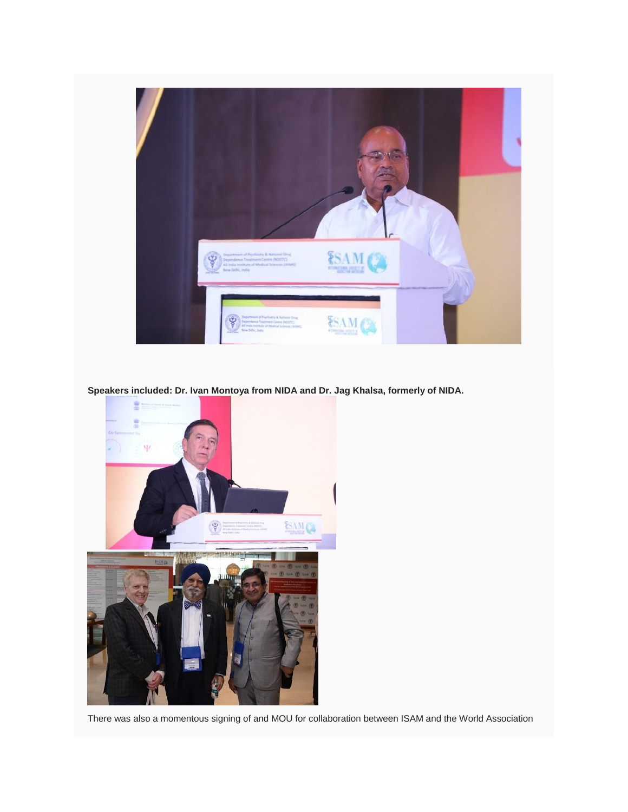

**Speakers included: Dr. Ivan Montoya from NIDA and Dr. Jag Khalsa, formerly of NIDA.**



There was also a momentous signing of and MOU for collaboration between ISAM and the World Association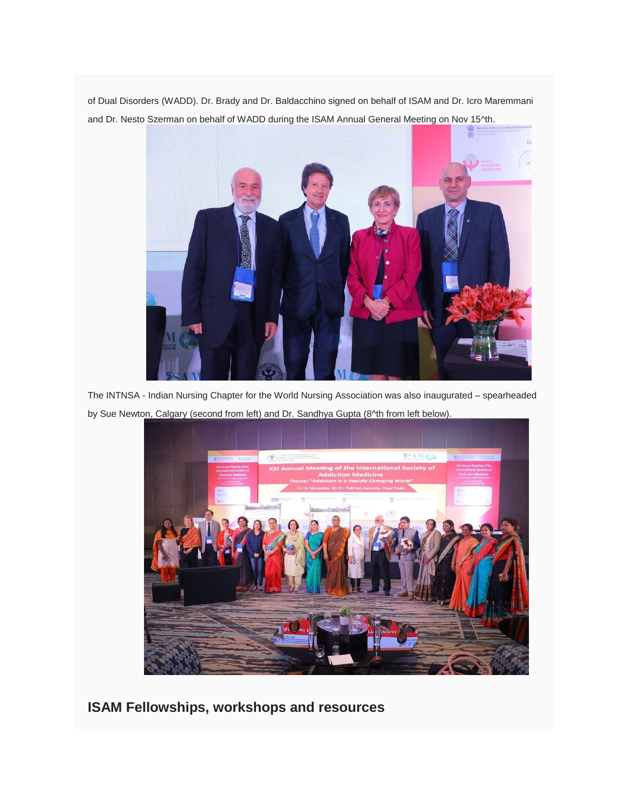of Dual Disorders (WADD). Dr. Brady and Dr. Baldacchino signed on behalf of ISAM and Dr. Icro Maremmani and Dr. Nesto Szerman on behalf of WADD during the ISAM Annual General Meeting on Nov 15^th.



The INTNSA - Indian Nursing Chapter for the World Nursing Association was also inaugurated – spearheaded by Sue Newton, Calgary (second from left) and Dr. Sandhya Gupta (8^th from left below).



**ISAM Fellowships, workshops and resources**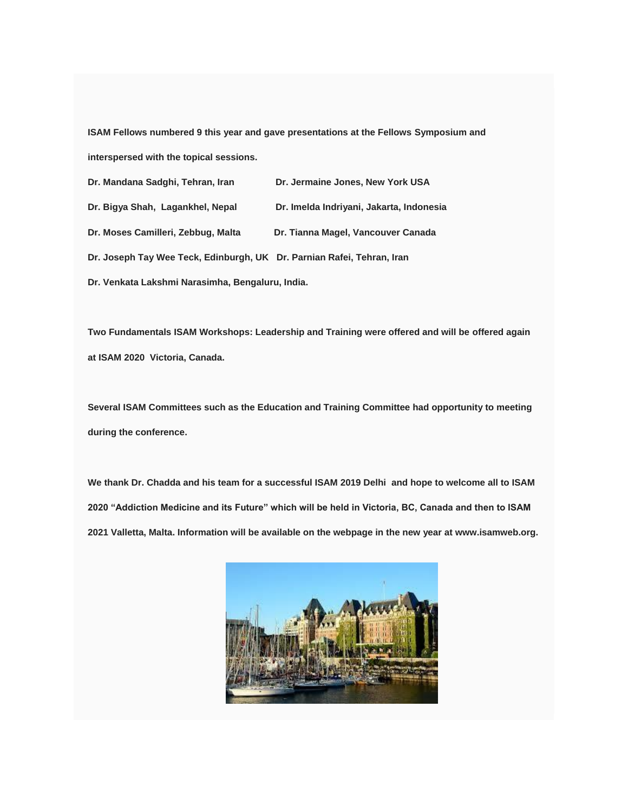**ISAM Fellows numbered 9 this year and gave presentations at the Fellows Symposium and interspersed with the topical sessions.**

| Dr. Mandana Sadghi, Tehran, Iran                                       | Dr. Jermaine Jones, New York USA         |
|------------------------------------------------------------------------|------------------------------------------|
| Dr. Bigya Shah, Lagankhel, Nepal                                       | Dr. Imelda Indriyani, Jakarta, Indonesia |
| Dr. Moses Camilleri, Zebbug, Malta                                     | Dr. Tianna Magel, Vancouver Canada       |
| Dr. Joseph Tay Wee Teck, Edinburgh, UK Dr. Parnian Rafei, Tehran, Iran |                                          |
| Dr. Venkata Lakshmi Narasimha, Bengaluru, India.                       |                                          |

**Two Fundamentals ISAM Workshops: Leadership and Training were offered and will be offered again at ISAM 2020 Victoria, Canada.**

**Several ISAM Committees such as the Education and Training Committee had opportunity to meeting during the conference.**

**We thank Dr. Chadda and his team for a successful ISAM 2019 Delhi and hope to welcome all to ISAM 2020 "Addiction Medicine and its Future" which will be held in Victoria, BC, Canada and then to ISAM 2021 Valletta, Malta. Information will be available on the webpage in the new year at www.isamweb.org.**

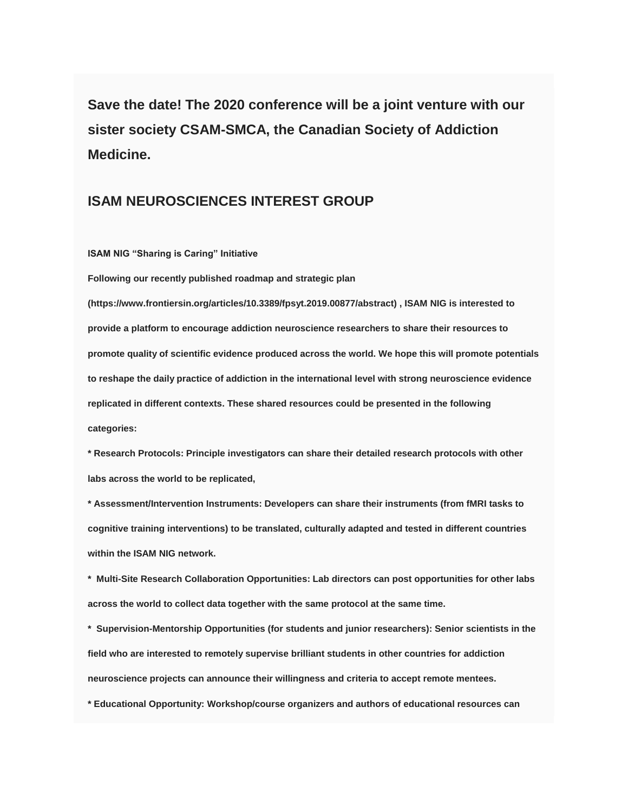**Save the date! The 2020 conference will be a joint venture with our sister society CSAM-SMCA, the Canadian Society of Addiction Medicine.**

#### **ISAM NEUROSCIENCES INTEREST GROUP**

**ISAM NIG "Sharing is Caring" Initiative**

**Following our recently published roadmap and strategic plan** 

**(https://www.frontiersin.org/articles/10.3389/fpsyt.2019.00877/abstract) , ISAM NIG is interested to provide a platform to encourage addiction neuroscience researchers to share their resources to promote quality of scientific evidence produced across the world. We hope this will promote potentials to reshape the daily practice of addiction in the international level with strong neuroscience evidence replicated in different contexts. These shared resources could be presented in the following categories:**

**\* Research Protocols: Principle investigators can share their detailed research protocols with other labs across the world to be replicated,**

**\* Assessment/Intervention Instruments: Developers can share their instruments (from fMRI tasks to cognitive training interventions) to be translated, culturally adapted and tested in different countries within the ISAM NIG network.**

**\* Multi-Site Research Collaboration Opportunities: Lab directors can post opportunities for other labs across the world to collect data together with the same protocol at the same time.**

**\* Supervision-Mentorship Opportunities (for students and junior researchers): Senior scientists in the field who are interested to remotely supervise brilliant students in other countries for addiction neuroscience projects can announce their willingness and criteria to accept remote mentees.**

**\* Educational Opportunity: Workshop/course organizers and authors of educational resources can**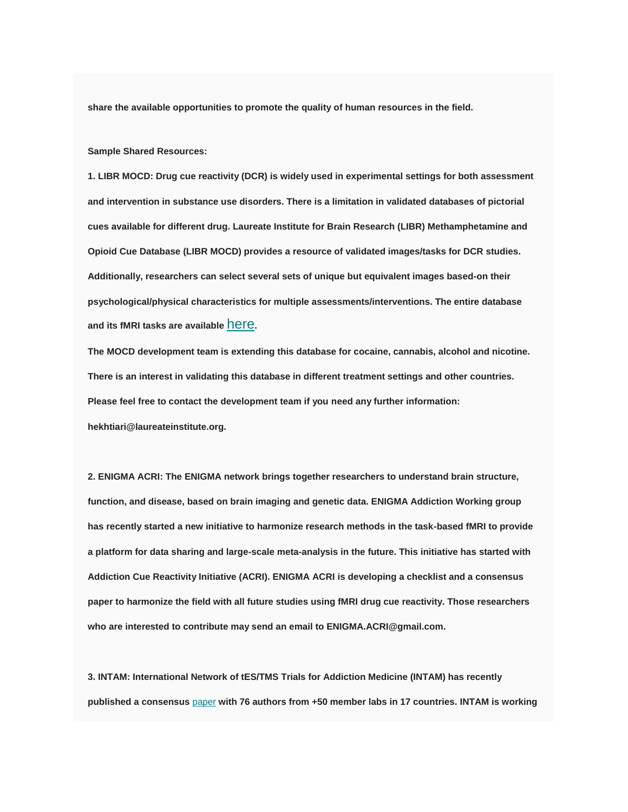**share the available opportunities to promote the quality of human resources in the field.**

**Sample Shared Resources:**

**1. LIBR MOCD: Drug cue reactivity (DCR) is widely used in experimental settings for both assessment and intervention in substance use disorders. There is a limitation in validated databases of pictorial cues available for different drug. Laureate Institute for Brain Research (LIBR) Methamphetamine and Opioid Cue Database (LIBR MOCD) provides a resource of validated images/tasks for DCR studies. Additionally, researchers can select several sets of unique but equivalent images based-on their psychological/physical characteristics for multiple assessments/interventions. The entire database and its fMRI tasks are available** [here](https://www.biorxiv.org/content/10.1101/731331v1)**.**

**The MOCD development team is extending this database for cocaine, cannabis, alcohol and nicotine. There is an interest in validating this database in different treatment settings and other countries. Please feel free to contact the development team if you need any further information: hekhtiari@laureateinstitute.org.**

**2. ENIGMA ACRI: The ENIGMA network brings together researchers to understand brain structure, function, and disease, based on brain imaging and genetic data. ENIGMA Addiction Working group has recently started a new initiative to harmonize research methods in the task-based fMRI to provide a platform for data sharing and large-scale meta-analysis in the future. This initiative has started with Addiction Cue Reactivity Initiative (ACRI). ENIGMA ACRI is developing a checklist and a consensus paper to harmonize the field with all future studies using fMRI drug cue reactivity. Those researchers who are interested to contribute may send an email to ENIGMA.ACRI@gmail.com.**

**3. INTAM: International Network of tES/TMS Trials for Addiction Medicine (INTAM) has recently published a consensus** [paper](https://doi.org/10.1016/j.neubiorev.2019.06.007) **with 76 authors from +50 member labs in 17 countries. INTAM is working**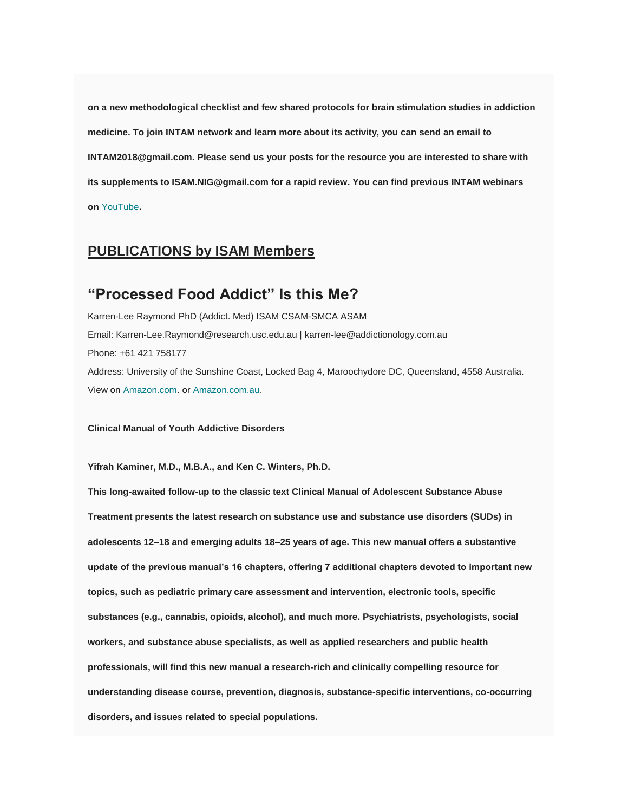**on a new methodological checklist and few shared protocols for brain stimulation studies in addiction medicine. To join INTAM network and learn more about its activity, you can send an email to INTAM2018@gmail.com. Please send us your posts for the resource you are interested to share with its supplements to ISAM.NIG@gmail.com for a rapid review. You can find previous INTAM webinars on** [YouTube](https://youtu.be/w7aUKFL41sQ)**.**

#### **PUBLICATIONS by ISAM Members**

### **"Processed Food Addict" Is this Me?**

Karren-Lee Raymond PhD (Addict. Med) ISAM CSAM-SMCA ASAM Email: Karren-Lee.Raymond@research.usc.edu.au | karren-lee@addictionology.com.au Phone: +61 421 758177 Address: University of the Sunshine Coast, Locked Bag 4, Maroochydore DC, Queensland, 4558 Australia. View on [Amazon.com.](https://www.amazon.com/dp/B081TSBV27) or Amazon.com.au.

**Clinical Manual of Youth Addictive Disorders**

**Yifrah Kaminer, M.D., M.B.A., and Ken C. Winters, Ph.D.**

**This long-awaited follow-up to the classic text Clinical Manual of Adolescent Substance Abuse Treatment presents the latest research on substance use and substance use disorders (SUDs) in adolescents 12–18 and emerging adults 18–25 years of age. This new manual offers a substantive update of the previous manual's 16 chapters, offering 7 additional chapters devoted to important new topics, such as pediatric primary care assessment and intervention, electronic tools, specific substances (e.g., cannabis, opioids, alcohol), and much more. Psychiatrists, psychologists, social workers, and substance abuse specialists, as well as applied researchers and public health professionals, will find this new manual a research-rich and clinically compelling resource for understanding disease course, prevention, diagnosis, substance-specific interventions, co-occurring disorders, and issues related to special populations.**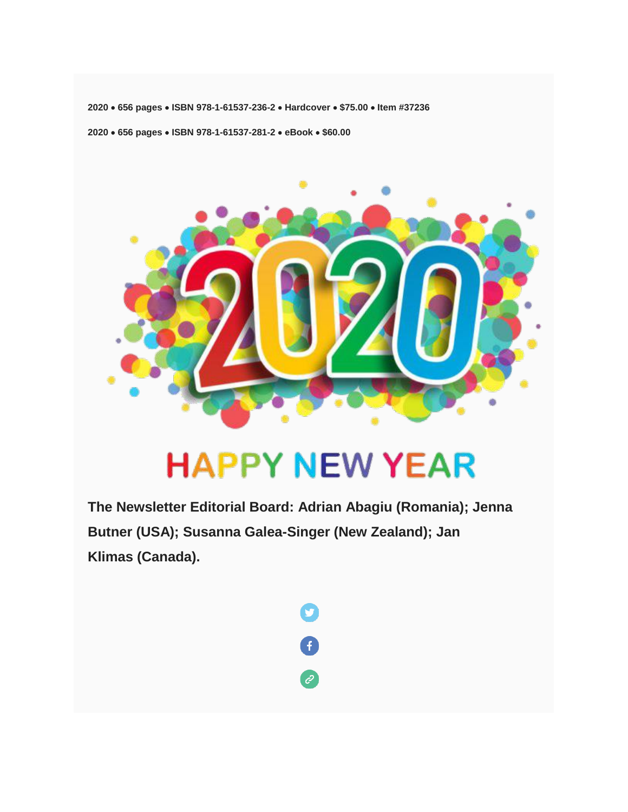**2020 656 pages ISBN 978-1-61537-236-2 Hardcover \$75.00 Item #37236**

**2020 656 pages ISBN 978-1-61537-281-2 eBook \$60.00**



# **HAPPY NEW YEAR**

**The Newsletter Editorial Board: Adrian Abagiu (Romania); Jenna Butner (USA); Susanna Galea-Singer (New Zealand); Jan Klimas (Canada).**

 $\mathbf{C}$ 

 $\bullet$ 

2